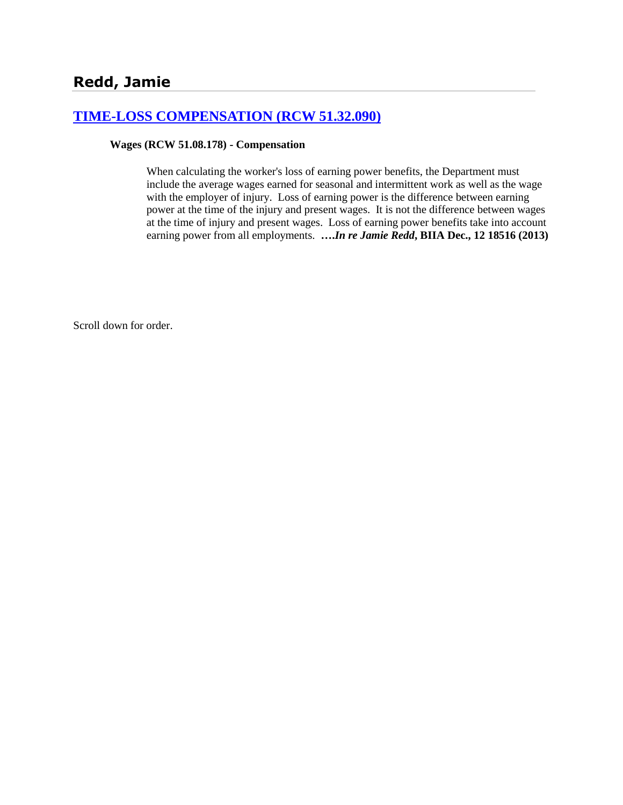# **[TIME-LOSS COMPENSATION \(RCW 51.32.090\)](http://www.biia.wa.gov/SDSubjectIndex.html#TIME_LOSS_COMPENSATION)**

### **Wages (RCW 51.08.178) - Compensation**

When calculating the worker's loss of earning power benefits, the Department must include the average wages earned for seasonal and intermittent work as well as the wage with the employer of injury. Loss of earning power is the difference between earning power at the time of the injury and present wages. It is not the difference between wages at the time of injury and present wages. Loss of earning power benefits take into account earning power from all employments. **….***In re Jamie Redd***, BIIA Dec., 12 18516 (2013)**

Scroll down for order.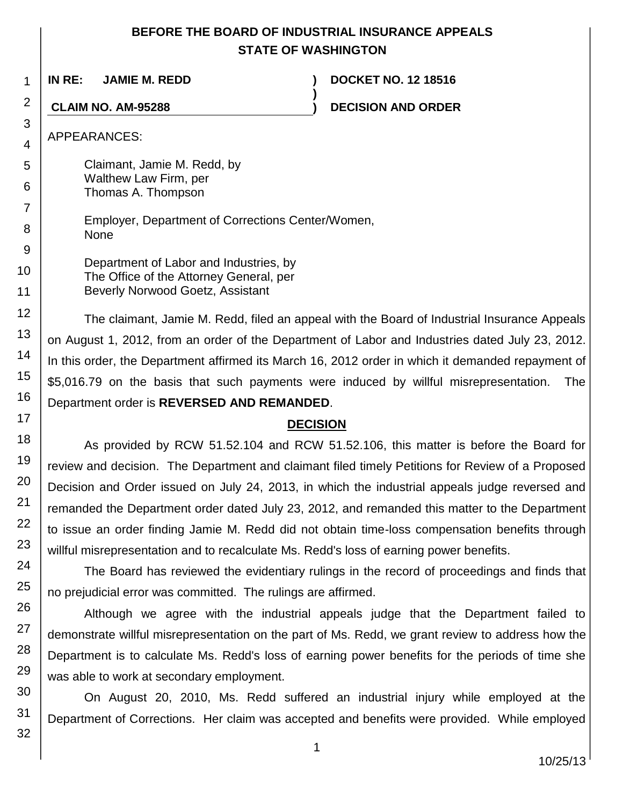# **BEFORE THE BOARD OF INDUSTRIAL INSURANCE APPEALS STATE OF WASHINGTON**

**)**

**IN RE: JAMIE M. REDD ) DOCKET NO. 12 18516**

**CLAIM NO. AM-95288 ) DECISION AND ORDER**

APPEARANCES:

Claimant, Jamie M. Redd, by Walthew Law Firm, per Thomas A. Thompson

> Employer, Department of Corrections Center/Women, None

Department of Labor and Industries, by The Office of the Attorney General, per Beverly Norwood Goetz, Assistant

The claimant, Jamie M. Redd, filed an appeal with the Board of Industrial Insurance Appeals on August 1, 2012, from an order of the Department of Labor and Industries dated July 23, 2012. In this order, the Department affirmed its March 16, 2012 order in which it demanded repayment of \$5,016.79 on the basis that such payments were induced by willful misrepresentation. The Department order is **REVERSED AND REMANDED**.

# **DECISION**

As provided by RCW 51.52.104 and RCW 51.52.106, this matter is before the Board for review and decision. The Department and claimant filed timely Petitions for Review of a Proposed Decision and Order issued on July 24, 2013, in which the industrial appeals judge reversed and remanded the Department order dated July 23, 2012, and remanded this matter to the Department to issue an order finding Jamie M. Redd did not obtain time-loss compensation benefits through willful misrepresentation and to recalculate Ms. Redd's loss of earning power benefits.

The Board has reviewed the evidentiary rulings in the record of proceedings and finds that no prejudicial error was committed. The rulings are affirmed.

Although we agree with the industrial appeals judge that the Department failed to demonstrate willful misrepresentation on the part of Ms. Redd, we grant review to address how the Department is to calculate Ms. Redd's loss of earning power benefits for the periods of time she was able to work at secondary employment.

On August 20, 2010, Ms. Redd suffered an industrial injury while employed at the Department of Corrections. Her claim was accepted and benefits were provided. While employed

10/25/13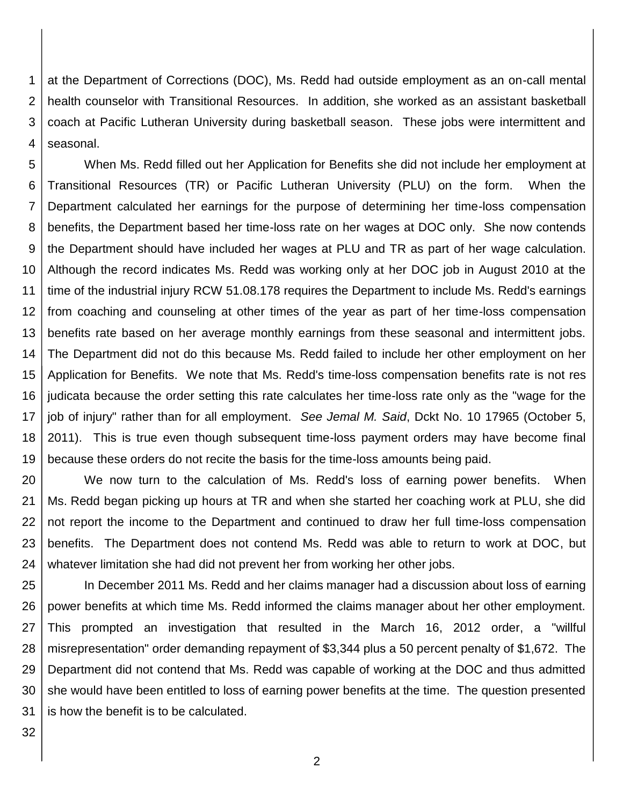1 2 3 4 at the Department of Corrections (DOC), Ms. Redd had outside employment as an on-call mental health counselor with Transitional Resources. In addition, she worked as an assistant basketball coach at Pacific Lutheran University during basketball season. These jobs were intermittent and seasonal.

5 6 7 8 9 10 11 12 13 14 15 16 17 18 19 When Ms. Redd filled out her Application for Benefits she did not include her employment at Transitional Resources (TR) or Pacific Lutheran University (PLU) on the form. When the Department calculated her earnings for the purpose of determining her time-loss compensation benefits, the Department based her time-loss rate on her wages at DOC only. She now contends the Department should have included her wages at PLU and TR as part of her wage calculation. Although the record indicates Ms. Redd was working only at her DOC job in August 2010 at the time of the industrial injury RCW 51.08.178 requires the Department to include Ms. Redd's earnings from coaching and counseling at other times of the year as part of her time-loss compensation benefits rate based on her average monthly earnings from these seasonal and intermittent jobs. The Department did not do this because Ms. Redd failed to include her other employment on her Application for Benefits. We note that Ms. Redd's time-loss compensation benefits rate is not res judicata because the order setting this rate calculates her time-loss rate only as the "wage for the job of injury" rather than for all employment. *See Jemal M. Said*, Dckt No. 10 17965 (October 5, 2011). This is true even though subsequent time-loss payment orders may have become final because these orders do not recite the basis for the time-loss amounts being paid.

20 21 22 23 24 We now turn to the calculation of Ms. Redd's loss of earning power benefits. When Ms. Redd began picking up hours at TR and when she started her coaching work at PLU, she did not report the income to the Department and continued to draw her full time-loss compensation benefits. The Department does not contend Ms. Redd was able to return to work at DOC, but whatever limitation she had did not prevent her from working her other jobs.

25 26 27 28 29 30 31 In December 2011 Ms. Redd and her claims manager had a discussion about loss of earning power benefits at which time Ms. Redd informed the claims manager about her other employment. This prompted an investigation that resulted in the March 16, 2012 order, a "willful misrepresentation" order demanding repayment of \$3,344 plus a 50 percent penalty of \$1,672. The Department did not contend that Ms. Redd was capable of working at the DOC and thus admitted she would have been entitled to loss of earning power benefits at the time. The question presented is how the benefit is to be calculated.

32

2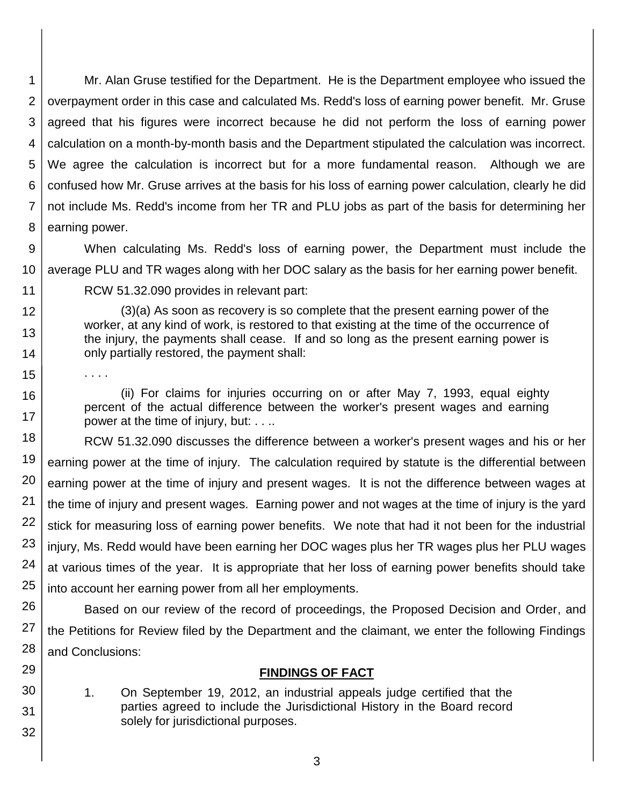1 2 3 4 5 6 7 8 Mr. Alan Gruse testified for the Department. He is the Department employee who issued the overpayment order in this case and calculated Ms. Redd's loss of earning power benefit. Mr. Gruse agreed that his figures were incorrect because he did not perform the loss of earning power calculation on a month-by-month basis and the Department stipulated the calculation was incorrect. We agree the calculation is incorrect but for a more fundamental reason. Although we are confused how Mr. Gruse arrives at the basis for his loss of earning power calculation, clearly he did not include Ms. Redd's income from her TR and PLU jobs as part of the basis for determining her earning power.

9

10 When calculating Ms. Redd's loss of earning power, the Department must include the average PLU and TR wages along with her DOC salary as the basis for her earning power benefit.

11

12

13

14

16

17

29

30

31

32

RCW 51.32.090 provides in relevant part:

(3)(a) As soon as recovery is so complete that the present earning power of the worker, at any kind of work, is restored to that existing at the time of the occurrence of the injury, the payments shall cease. If and so long as the present earning power is only partially restored, the payment shall:

15

. . . .

(ii) For claims for injuries occurring on or after May 7, 1993, equal eighty percent of the actual difference between the worker's present wages and earning power at the time of injury, but: . . ..

18 19 20 21 22 23 24 25 RCW 51.32.090 discusses the difference between a worker's present wages and his or her earning power at the time of injury. The calculation required by statute is the differential between earning power at the time of injury and present wages. It is not the difference between wages at the time of injury and present wages. Earning power and not wages at the time of injury is the yard stick for measuring loss of earning power benefits. We note that had it not been for the industrial injury, Ms. Redd would have been earning her DOC wages plus her TR wages plus her PLU wages at various times of the year. It is appropriate that her loss of earning power benefits should take into account her earning power from all her employments.

26 27 28 Based on our review of the record of proceedings, the Proposed Decision and Order, and the Petitions for Review filed by the Department and the claimant, we enter the following Findings and Conclusions:

### **FINDINGS OF FACT**

1. On September 19, 2012, an industrial appeals judge certified that the parties agreed to include the Jurisdictional History in the Board record solely for jurisdictional purposes.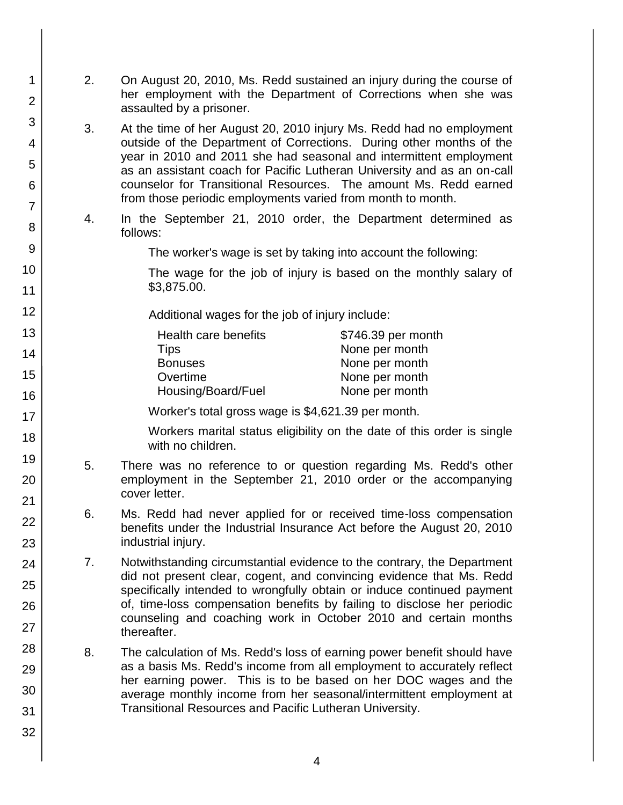1 2 3 4 5 6 7 8 9 10 11 12 13 14 15 16 17 18 19 20 21 22 23 24 25 26 27 28 29 30 31 32 2. On August 20, 2010, Ms. Redd sustained an injury during the course of her employment with the Department of Corrections when she was assaulted by a prisoner. 3. At the time of her August 20, 2010 injury Ms. Redd had no employment outside of the Department of Corrections. During other months of the year in 2010 and 2011 she had seasonal and intermittent employment as an assistant coach for Pacific Lutheran University and as an on-call counselor for Transitional Resources. The amount Ms. Redd earned from those periodic employments varied from month to month. 4. In the September 21, 2010 order, the Department determined as follows: The worker's wage is set by taking into account the following: The wage for the job of injury is based on the monthly salary of \$3,875.00. Additional wages for the job of injury include: Health care benefits **\$746.39** per month Tips None per month Bonuses None per month Overtime None per month Housing/Board/Fuel None per month Worker's total gross wage is \$4,621.39 per month. Workers marital status eligibility on the date of this order is single with no children. 5. There was no reference to or question regarding Ms. Redd's other employment in the September 21, 2010 order or the accompanying cover letter. 6. Ms. Redd had never applied for or received time-loss compensation benefits under the Industrial Insurance Act before the August 20, 2010 industrial injury. 7. Notwithstanding circumstantial evidence to the contrary, the Department did not present clear, cogent, and convincing evidence that Ms. Redd specifically intended to wrongfully obtain or induce continued payment of, time-loss compensation benefits by failing to disclose her periodic counseling and coaching work in October 2010 and certain months thereafter. 8. The calculation of Ms. Redd's loss of earning power benefit should have as a basis Ms. Redd's income from all employment to accurately reflect her earning power. This is to be based on her DOC wages and the average monthly income from her seasonal/intermittent employment at Transitional Resources and Pacific Lutheran University.